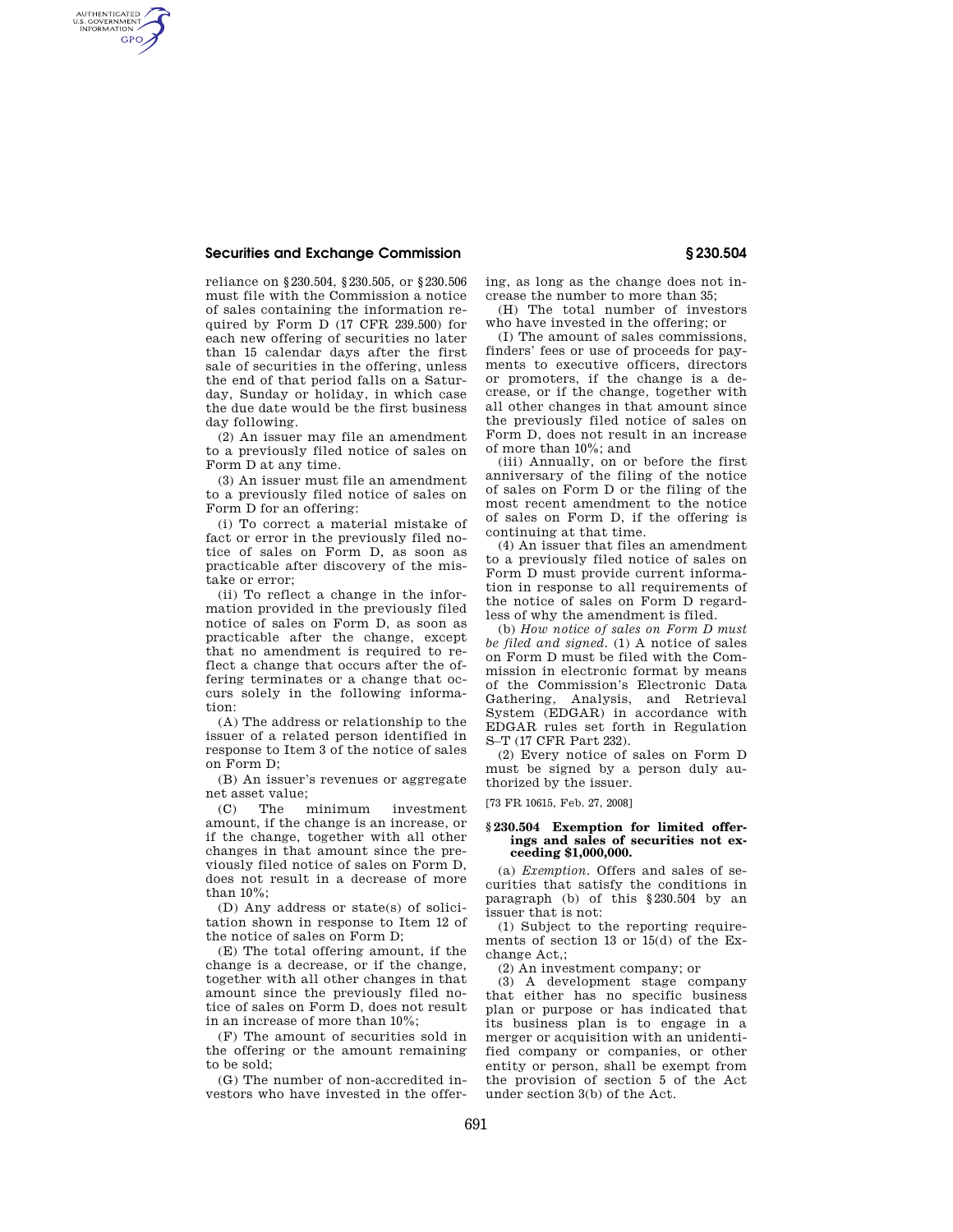## **Securities and Exchange Commission § 230.504**

AUTHENTICATED<br>U.S. GOVERNMENT<br>INFORMATION GPO

> reliance on §230.504, §230.505, or §230.506 must file with the Commission a notice of sales containing the information required by Form D (17 CFR 239.500) for each new offering of securities no later than 15 calendar days after the first sale of securities in the offering, unless the end of that period falls on a Saturday, Sunday or holiday, in which case the due date would be the first business day following.

> (2) An issuer may file an amendment to a previously filed notice of sales on Form D at any time.

> (3) An issuer must file an amendment to a previously filed notice of sales on Form D for an offering:

> (i) To correct a material mistake of fact or error in the previously filed notice of sales on Form D, as soon as practicable after discovery of the mistake or error;

> (ii) To reflect a change in the information provided in the previously filed notice of sales on Form D, as soon as practicable after the change, except that no amendment is required to reflect a change that occurs after the offering terminates or a change that occurs solely in the following information:

> (A) The address or relationship to the issuer of a related person identified in response to Item 3 of the notice of sales on Form D;

> (B) An issuer's revenues or aggregate net asset value;

> (C) The minimum investment amount, if the change is an increase, or if the change, together with all other changes in that amount since the previously filed notice of sales on Form D, does not result in a decrease of more than 10%;

> (D) Any address or state(s) of solicitation shown in response to Item 12 of the notice of sales on Form D;

> (E) The total offering amount, if the change is a decrease, or if the change, together with all other changes in that amount since the previously filed notice of sales on Form D, does not result in an increase of more than 10%;

> (F) The amount of securities sold in the offering or the amount remaining to be sold;

> (G) The number of non-accredited investors who have invested in the offer

ing, as long as the change does not increase the number to more than 35;

(H) The total number of investors who have invested in the offering; or

(I) The amount of sales commissions, finders' fees or use of proceeds for payments to executive officers, directors or promoters, if the change is a decrease, or if the change, together with all other changes in that amount since the previously filed notice of sales on Form D, does not result in an increase of more than 10%; and

(iii) Annually, on or before the first anniversary of the filing of the notice of sales on Form D or the filing of the most recent amendment to the notice of sales on Form D, if the offering is continuing at that time.

(4) An issuer that files an amendment to a previously filed notice of sales on Form D must provide current information in response to all requirements of the notice of sales on Form D regardless of why the amendment is filed.

(b) *How notice of sales on Form D must be filed and signed.* (1) A notice of sales on Form D must be filed with the Commission in electronic format by means of the Commission's Electronic Data Gathering, Analysis, and Retrieval System (EDGAR) in accordance with EDGAR rules set forth in Regulation S–T (17 CFR Part 232).

(2) Every notice of sales on Form D must be signed by a person duly authorized by the issuer.

[73 FR 10615, Feb. 27, 2008]

## **§ 230.504 Exemption for limited offerings and sales of securities not exceeding \$1,000,000.**

(a) *Exemption.* Offers and sales of securities that satisfy the conditions in paragraph (b) of this §230.504 by an issuer that is not:

(1) Subject to the reporting requirements of section 13 or 15(d) of the Exchange Act,;

(2) An investment company; or

(3) A development stage company that either has no specific business plan or purpose or has indicated that its business plan is to engage in a merger or acquisition with an unidentified company or companies, or other entity or person, shall be exempt from the provision of section 5 of the Act under section 3(b) of the Act.